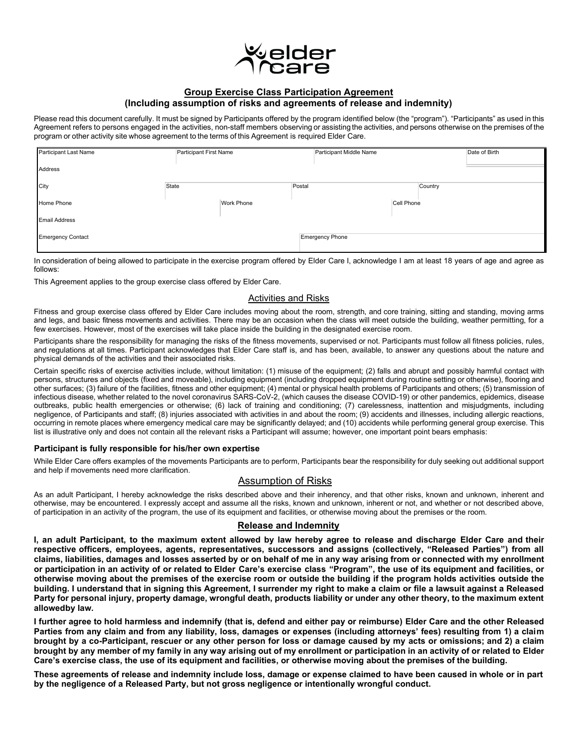

# **Group Exercise Class Participation Agreement (Including assumption of risks and agreements of release and indemnity)**

Please read this document carefully. It must be signed by Participants offered by the program identified below (the "program"). "Participants" as used in this Agreement refers to persons engaged in the activities, non-staff members observing or assisting the activities, and persons otherwise on the premises of the program or other activity site whose agreement to the terms of this Agreement is required Elder Care.

| Participant Last Name    | Participant First Name | Participant Middle Name |            | Date of Birth |
|--------------------------|------------------------|-------------------------|------------|---------------|
|                          |                        |                         |            |               |
| Address                  |                        |                         |            |               |
|                          |                        |                         |            |               |
| City                     | State                  | Postal                  | Country    |               |
| Home Phone               | Work Phone             |                         | Cell Phone |               |
|                          |                        |                         |            |               |
| <b>Email Address</b>     |                        |                         |            |               |
|                          |                        |                         |            |               |
| <b>Emergency Contact</b> |                        | Emergency Phone         |            |               |
|                          |                        |                         |            |               |

In consideration of being allowed to participate in the exercise program offered by Elder Care I, acknowledge I am at least 18 years of age and agree as follows:

This Agreement applies to the group exercise class offered by Elder Care.

### Activities and Risks

Fitness and group exercise class offered by Elder Care includes moving about the room, strength, and core training, sitting and standing, moving arms and legs, and basic fitness movements and activities. There may be an occasion when the class will meet outside the building, weather permitting, for a few exercises. However, most of the exercises will take place inside the building in the designated exercise room.

Participants share the responsibility for managing the risks of the fitness movements, supervised or not. Participants must follow all fitness policies, rules, and regulations at all times. Participant acknowledges that Elder Care staff is, and has been, available, to answer any questions about the nature and physical demands of the activities and their associated risks.

Certain specific risks of exercise activities include, without limitation: (1) misuse of the equipment; (2) falls and abrupt and possibly harmful contact with persons, structures and objects (fixed and moveable), including equipment (including dropped equipment during routine setting or otherwise), flooring and other surfaces; (3) failure of the facilities, fitness and other equipment; (4) mental or physical health problems of Participants and others; (5) transmission of infectious disease, whether related to the novel coronavirus SARS-CoV-2, (which causes the disease COVID-19) or other pandemics, epidemics, disease outbreaks, public health emergencies or otherwise; (6) lack of training and conditioning; (7) carelessness, inattention and misjudgments, including negligence, of Participants and staff; (8) injuries associated with activities in and about the room; (9) accidents and illnesses, including allergic reactions, occurring in remote places where emergency medical care may be significantly delayed; and (10) accidents while performing general group exercise. This list is illustrative only and does not contain all the relevant risks a Participant will assume; however, one important point bears emphasis:

## **Participant is fully responsible for his/her own expertise**

While Elder Care offers examples of the movements Participants are to perform, Participants bear the responsibility for duly seeking out additional support and help if movements need more clarification.

# Assumption of Risks

As an adult Participant, I hereby acknowledge the risks described above and their inherency, and that other risks, known and unknown, inherent and otherwise, may be encountered. I expressly accept and assume all the risks, known and unknown, inherent or not, and whether or not described above, of participation in an activity of the program, the use of its equipment and facilities, or otherwise moving about the premises or the room.

### **Release and Indemnity**

**I, an adult Participant, to the maximum extent allowed by law hereby agree to release and discharge Elder Care and their respective officers, employees, agents, representatives, successors and assigns (collectively, "Released Parties") from all claims, liabilities, damages and losses asserted by or on behalf of me in any way arising from or connected with my enrollment** or participation in an activity of or related to Elder Care's exercise class "Program", the use of its equipment and facilities, or **otherwise moving about the premises of the exercise room or outside the building if the program holds activities outside the building. I understand that in signing this Agreement, I surrender my right to make a claim or file a lawsuit against a Released Party for personal injury, property damage, wrongful death, products liability or under any other theory, to the maximum extent allowedby law.**

**I further agree to hold harmless and indemnify (that is, defend and either pay or reimburse) Elder Care and the other Released Parties from any claim and from any liability, loss, damages or expenses (including attorneys' fees) resulting from 1) a claim brought by a co-Participant, rescuer or any other person for loss or damage caused by my acts or omissions; and 2) a claim** brought by any member of my family in any way arising out of my enrollment or participation in an activity of or related to Elder **Care's exercise class, the use of its equipment and facilities, or otherwise moving about the premises of the building.**

**These agreements of release and indemnity include loss, damage or expense claimed to have been caused in whole or in part by the negligence of a Released Party, but not gross negligence or intentionally wrongful conduct.**